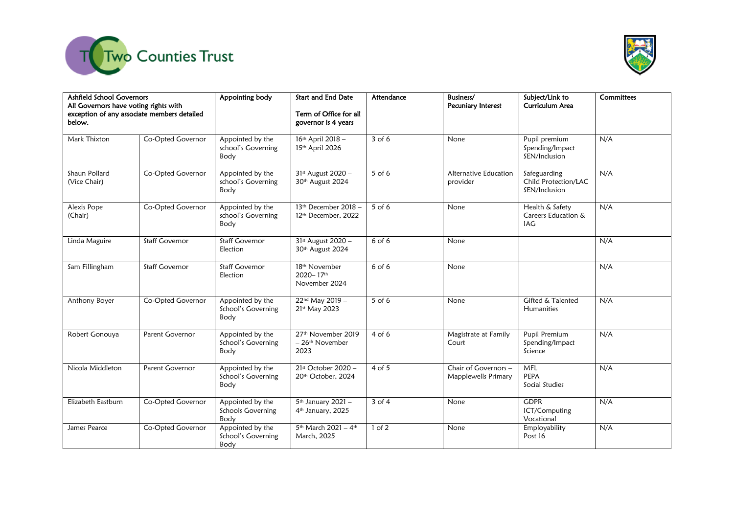



| Ashfield School Governors<br>All Governors have voting rights with<br>exception of any associate members detailed<br>below. |                       | Appointing body                                | <b>Start and End Date</b><br>Term of Office for all<br>governor is 4 years | Attendance | Business/<br>Pecuniary Interest                    | Subject/Link to<br>Curriculum Area                    | Committees |
|-----------------------------------------------------------------------------------------------------------------------------|-----------------------|------------------------------------------------|----------------------------------------------------------------------------|------------|----------------------------------------------------|-------------------------------------------------------|------------|
| Mark Thixton                                                                                                                | Co-Opted Governor     | Appointed by the<br>school's Governing<br>Body | 16th April 2018 -<br>15th April 2026                                       | $3$ of 6   | None                                               | Pupil premium<br>Spending/Impact<br>SEN/Inclusion     | N/A        |
| Shaun Pollard<br>(Vice Chair)                                                                                               | Co-Opted Governor     | Appointed by the<br>school's Governing<br>Body | 31st August 2020 -<br>30th August 2024                                     | 5 of 6     | Alternative Education<br>provider                  | Safeguarding<br>Child Protection/LAC<br>SEN/Inclusion | N/A        |
| Alexis Pope<br>(Chair)                                                                                                      | Co-Opted Governor     | Appointed by the<br>school's Governing<br>Body | 13th December 2018 -<br>12th December, 2022                                | 5 of 6     | None                                               | Health & Safety<br>Careers Education &<br>IAG         | N/A        |
| Linda Maguire                                                                                                               | <b>Staff Governor</b> | <b>Staff Governor</b><br>Election              | 31st August 2020 -<br>30th August 2024                                     | 6 of 6     | None                                               |                                                       | N/A        |
| Sam Fillingham                                                                                                              | <b>Staff Governor</b> | <b>Staff Governor</b><br>Election              | 18th November<br>2020-17th<br>November 2024                                | 6 of 6     | None                                               |                                                       | N/A        |
| Anthony Boyer                                                                                                               | Co-Opted Governor     | Appointed by the<br>School's Governing<br>Body | 22nd May 2019 -<br>21st May 2023                                           | $5$ of 6   | None                                               | Gifted & Talented<br><b>Humanities</b>                | N/A        |
| Robert Gonouya                                                                                                              | Parent Governor       | Appointed by the<br>School's Governing<br>Body | 27 <sup>th</sup> November 2019<br>- 26 <sup>th</sup> November<br>2023      | $4$ of 6   | Magistrate at Family<br>Court                      | Pupil Premium<br>Spending/Impact<br>Science           | N/A        |
| Nicola Middleton                                                                                                            | Parent Governor       | Appointed by the<br>School's Governing<br>Body | 21st October 2020 -<br>20th October, 2024                                  | $4$ of 5   | Chair of Governors -<br><b>Mapplewells Primary</b> | <b>MFL</b><br>PEPA<br>Social Studies                  | N/A        |
| Elizabeth Eastburn                                                                                                          | Co-Opted Governor     | Appointed by the<br>Schools Governing<br>Body  | 5 <sup>th</sup> January 2021-<br>4 <sup>th</sup> January, 2025             | $3$ of $4$ | None                                               | <b>GDPR</b><br>ICT/Computing<br>Vocational            | N/A        |
| James Pearce                                                                                                                | Co-Opted Governor     | Appointed by the<br>School's Governing<br>Body | 5th March 2021 - 4th<br>March, 2025                                        | $1$ of $2$ | None                                               | Employability<br>Post 16                              | N/A        |